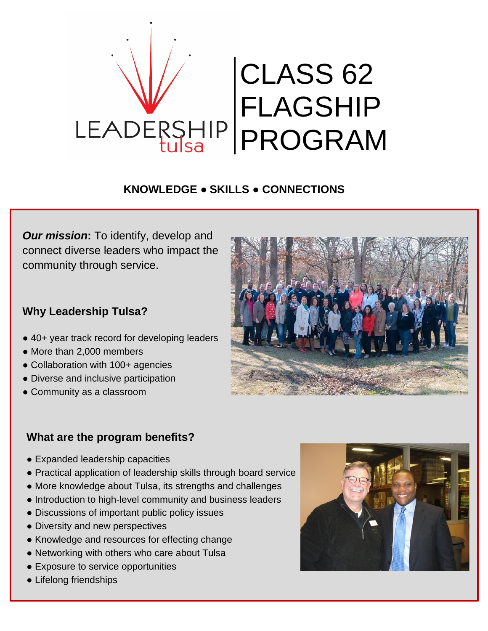

### **KNOWLEDGE ● SKILLS ● CONNECTIONS**

*Our mission***:** To identify, develop and connect diverse leaders who impact the community through service.

### **Why Leadership Tulsa?**

- 40+ year track record for developing leaders
- More than 2,000 members
- Collaboration with 100+ agencies
- Diverse and inclusive participation
- Community as a classroom



### **What are the program benefits?**

- Expanded leadership capacities
- Practical application of leadership skills through board service
- More knowledge about Tulsa, its strengths and challenges
- Introduction to high-level community and business leaders
- Discussions of important public policy issues
- Diversity and new perspectives
- Knowledge and resources for effecting change
- Networking with others who care about Tulsa
- Exposure to service opportunities
- Lifelong friendships

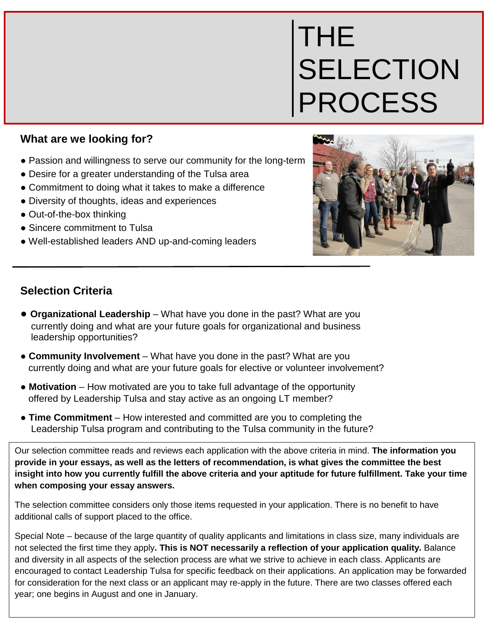# THE **SELECTION** PROCESS

### **What are we looking for?**

- Passion and willingness to serve our community for the long-term
- Desire for a greater understanding of the Tulsa area
- Commitment to doing what it takes to make a difference
- Diversity of thoughts, ideas and experiences
- Out-of-the-box thinking
- Sincere commitment to Tulsa
- Well-established leaders AND up-and-coming leaders



### **Selection Criteria**

- **● Organizational Leadership** What have you done in the past? What are you currently doing and what are your future goals for organizational and business leadership opportunities?
- **Community Involvement** What have you done in the past? What are you currently doing and what are your future goals for elective or volunteer involvement?
- **Motivation** How motivated are you to take full advantage of the opportunity offered by Leadership Tulsa and stay active as an ongoing LT member?
- **Time Commitment** How interested and committed are you to completing the Leadership Tulsa program and contributing to the Tulsa community in the future?

Our selection committee reads and reviews each application with the above criteria in mind. **The information you provide in your essays, as well as the letters of recommendation, is what gives the committee the best insight into how you currently fulfill the above criteria and your aptitude for future fulfillment. Take your time when composing your essay answers.**

The selection committee considers only those items requested in your application. There is no benefit to have additional calls of support placed to the office.

Special Note – because of the large quantity of quality applicants and limitations in class size, many individuals are not selected the first time they apply**. This is NOT necessarily a reflection of your application quality.** Balance and diversity in all aspects of the selection process are what we strive to achieve in each class. Applicants are encouraged to contact Leadership Tulsa for specific feedback on their applications. An application may be forwarded for consideration for the next class or an applicant may re-apply in the future. There are two classes offered each year; one begins in August and one in January.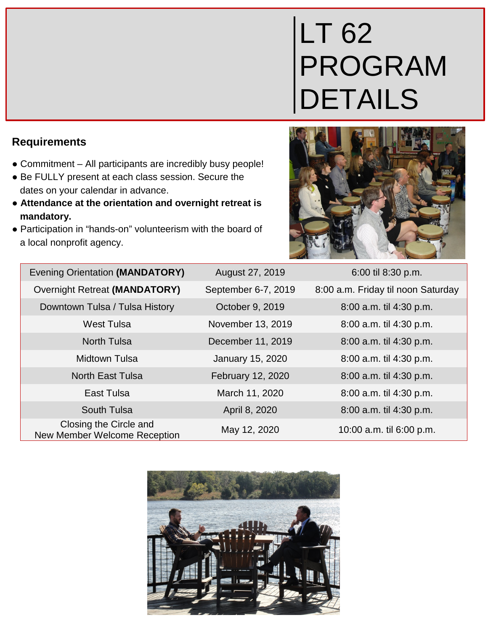# LT 62 PROGRAM DETAILS

| <b>Evening Orientation (MANDATORY)</b>                 | August 27, 2019     | 6:00 til 8:30 p.m.                 |
|--------------------------------------------------------|---------------------|------------------------------------|
| <b>Overnight Retreat (MANDATORY)</b>                   | September 6-7, 2019 | 8:00 a.m. Friday til noon Saturday |
| Downtown Tulsa / Tulsa History                         | October 9, 2019     | 8:00 a.m. til 4:30 p.m.            |
| <b>West Tulsa</b>                                      | November 13, 2019   | 8:00 a.m. til 4:30 p.m.            |
| <b>North Tulsa</b>                                     | December 11, 2019   | 8:00 a.m. til 4:30 p.m.            |
| <b>Midtown Tulsa</b>                                   | January 15, 2020    | 8:00 a.m. til 4:30 p.m.            |
| <b>North East Tulsa</b>                                | February 12, 2020   | 8:00 a.m. til 4:30 p.m.            |
| East Tulsa                                             | March 11, 2020      | 8:00 a.m. til 4:30 p.m.            |
| South Tulsa                                            | April 8, 2020       | 8:00 a.m. til 4:30 p.m.            |
| Closing the Circle and<br>New Member Welcome Reception | May 12, 2020        | 10:00 a.m. til 6:00 p.m.           |



### **Requirements**

- Commitment All participants are incredibly busy people!
- Be FULLY present at each class session. Secure the dates on your calendar in advance.
- **Attendance at the orientation and overnight retreat is mandatory.**
- Participation in "hands-on" volunteerism with the board of a local nonprofit agency.